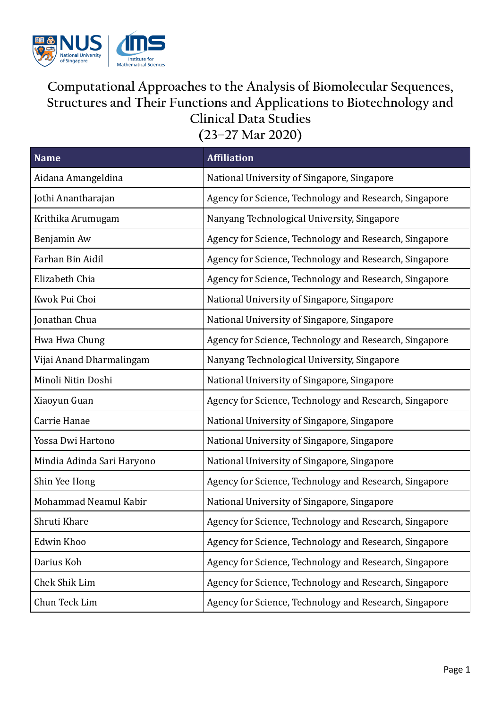

## **Computational Approaches to the Analysis of Biomolecular Sequences, Structures and Their Functions and Applications to Biotechnology and Clinical Data Studies**

**(23–27 Mar 2020)**

| <b>Name</b>                | <b>Affiliation</b>                                     |
|----------------------------|--------------------------------------------------------|
| Aidana Amangeldina         | National University of Singapore, Singapore            |
| Jothi Anantharajan         | Agency for Science, Technology and Research, Singapore |
| Krithika Arumugam          | Nanyang Technological University, Singapore            |
| Benjamin Aw                | Agency for Science, Technology and Research, Singapore |
| Farhan Bin Aidil           | Agency for Science, Technology and Research, Singapore |
| Elizabeth Chia             | Agency for Science, Technology and Research, Singapore |
| Kwok Pui Choi              | National University of Singapore, Singapore            |
| Jonathan Chua              | National University of Singapore, Singapore            |
| Hwa Hwa Chung              | Agency for Science, Technology and Research, Singapore |
| Vijai Anand Dharmalingam   | Nanyang Technological University, Singapore            |
| Minoli Nitin Doshi         | National University of Singapore, Singapore            |
| Xiaoyun Guan               | Agency for Science, Technology and Research, Singapore |
| Carrie Hanae               | National University of Singapore, Singapore            |
| Yossa Dwi Hartono          | National University of Singapore, Singapore            |
| Mindia Adinda Sari Haryono | National University of Singapore, Singapore            |
| Shin Yee Hong              | Agency for Science, Technology and Research, Singapore |
| Mohammad Neamul Kabir      | National University of Singapore, Singapore            |
| Shruti Khare               | Agency for Science, Technology and Research, Singapore |
| Edwin Khoo                 | Agency for Science, Technology and Research, Singapore |
| Darius Koh                 | Agency for Science, Technology and Research, Singapore |
| Chek Shik Lim              | Agency for Science, Technology and Research, Singapore |
| Chun Teck Lim              | Agency for Science, Technology and Research, Singapore |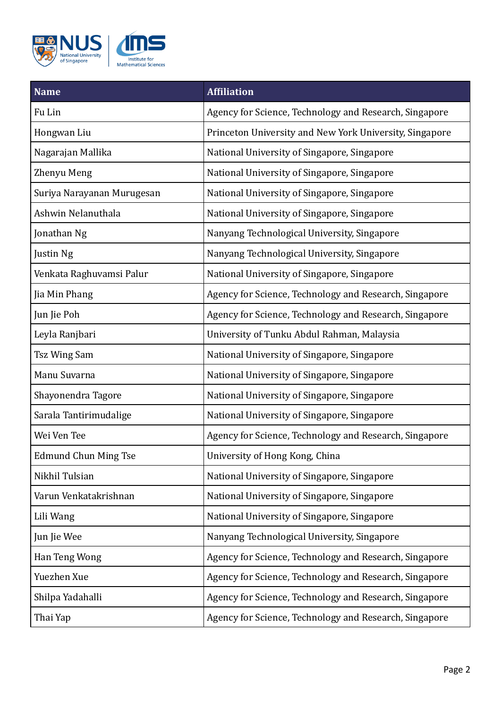

| <b>Name</b>                | <b>Affiliation</b>                                      |
|----------------------------|---------------------------------------------------------|
| Fu Lin                     | Agency for Science, Technology and Research, Singapore  |
| Hongwan Liu                | Princeton University and New York University, Singapore |
| Nagarajan Mallika          | National University of Singapore, Singapore             |
| Zhenyu Meng                | National University of Singapore, Singapore             |
| Suriya Narayanan Murugesan | National University of Singapore, Singapore             |
| Ashwin Nelanuthala         | National University of Singapore, Singapore             |
| Jonathan Ng                | Nanyang Technological University, Singapore             |
| Justin Ng                  | Nanyang Technological University, Singapore             |
| Venkata Raghuvamsi Palur   | National University of Singapore, Singapore             |
| Jia Min Phang              | Agency for Science, Technology and Research, Singapore  |
| Jun Jie Poh                | Agency for Science, Technology and Research, Singapore  |
| Leyla Ranjbari             | University of Tunku Abdul Rahman, Malaysia              |
| Tsz Wing Sam               | National University of Singapore, Singapore             |
| Manu Suvarna               | National University of Singapore, Singapore             |
| Shayonendra Tagore         | National University of Singapore, Singapore             |
| Sarala Tantirimudalige     | National University of Singapore, Singapore             |
| Wei Ven Tee                | Agency for Science, Technology and Research, Singapore  |
| Edmund Chun Ming Tse       | University of Hong Kong, China                          |
| Nikhil Tulsian             | National University of Singapore, Singapore             |
| Varun Venkatakrishnan      | National University of Singapore, Singapore             |
| Lili Wang                  | National University of Singapore, Singapore             |
| Jun Jie Wee                | Nanyang Technological University, Singapore             |
| Han Teng Wong              | Agency for Science, Technology and Research, Singapore  |
| Yuezhen Xue                | Agency for Science, Technology and Research, Singapore  |
| Shilpa Yadahalli           | Agency for Science, Technology and Research, Singapore  |
| Thai Yap                   | Agency for Science, Technology and Research, Singapore  |